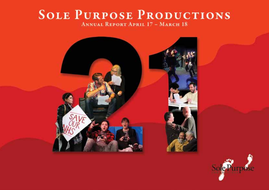### **SOLE PURPOSE PRODUCTIONS ANNUAL REPORT APRIL 17 - MARCH 18**

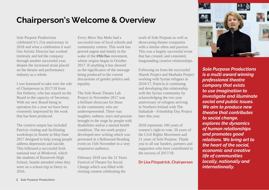### **Chairperson's Welcome & Overview**

Sole Purpose Productions celebrated it's 21st anniversary in 2018 and what a celebration it was! Our Artistic Director has worked tirelessly and led the company through another successful year, despite the increased strain placed on the theatre and performance industry as a whole.

I was honoured to take over the role of Chairperson in 2017/18 from Jim Doherty, who has stayed on the Board in the capacity of Secretary. With our new Board being in operation for a year we have been extremely impressed by the work that has been produced.

The creative output has included Patricia visiting and facilitating workshops in Seattle in May/June 2017 designed to help young people address depression and suicide. This followed a successful Irish national tour of *Blinkered*, which the students of Roosevelt High School, Seattle attended when they were on a school trip to Derry in 2016.

*Every Move You Make* had a successful tour of local schools and community centres. This work has proved urgent and timely in the wake of the **#MeToo** movement, whose origins began in October 2017. If anything it has showed us the significance of the message being produced in the current discussions of gender politics and equality.

The Sole Roots Theatre Lab Project in November 2017 was a brilliant showcase for those in the community who are underrepresented. There was laughter, sadness, tears and passion brought to the stage by people with disabilities and/or a mental health condition. The ten week project developed new writing which was presented at a Rehearsed Reading event on 15th November to a very responsive audience.

February 2018 saw the 21 Years Festival of Theatre for Social Change which was filled with riveting content celebrating the

work of Sole Purpose as well as showcasing theatre companies with a similar ethos and passion. This was a hugely successful event that has created, and cemented, longstanding creative relationships.

Following on from the successful Sharek Project and Marhaba Project working with Syrian refugees in 2016/17, Patricia is continuing and developing this relationship with the Syrian community by acknowledging the two year anniversary of refugees arriving in Northern Ireland with The Sadaakah - Friendship Day Project later this year.

2018 represents 100 years of women's right to vote, 50 years of the Civil Rights Movement and 21 years of Sole Purpose. Thank you to all our funders, partners and supporters who have contributed to the success of 2017/18.

#### **Dr Lisa Fitzpatrick, Chairperson**



*Sole Purpose Productions is a multi award winning professional theatre company that exists to use imagination to investigate and illuminate social and public issues. We aim to produce new theatre that contributes to social change, explores the dynamics of human relationships and promotes good relations. We bring art to the heart of the social, economic and creative life of communities locally, nationally and internationally.*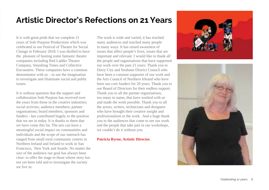### **Artistic Director's Refections on 21 Years**

It is with great pride that we complete 21 years of Sole Purpose Productions which was celebrated in our Festival of Theatre for Social Change in February 2018. I was thrilled to have the pleasure of hosting some fantastic theatre companies including Red Ladder Theatre Company, Smashing Times and Collective Encounters. These companies have a common denominator with us – to use the imagination to investigate and illuminate social and public issues.

It is without question that the support and collaboration Sole Purpose has received over the years from those in the creative industries; social activists; audience members; partner organisations; board members; sponsors and funders - has contributed hugely to the position that we are in today. It is thanks to them that we have come this far. The arts can have a meaningful social impact on communities and individuals and the scope of our outreach has ranged from small rural community centres in Northern Ireland and Ireland to work in San Francisco, New York and Seattle. No matter the size of the audience our goal has always been clear: to offer the stage to those whose story has not yet been told and to investigate the society we live in.

The work is wide and varied, it has reached many audiences and touched many people in many ways. It has raised awareness of issues that affect people's lives, issues that are important and relevant. I would like to thank all the people and organisations that have supported our work over the past 21 years. Thank you to Derry City and Strabane District Council who have been a constant supporter of our work and the Arts Council of Northern Irleand who have been our core funders for 20 years. Thank you to our Board of Directors for their endless support. Thank you to all the partner organisations, too many to name, that have worked with us and made the work possible. Thank you to all the actors, writers, technicians and designers who have brought their creative insight and professionalism to the work. And a huge thank you to the audiences that come to see our work and the people that take part in our workshops, we couldn't do it without you.

### **Patricia Byrne, Artistic Director.**



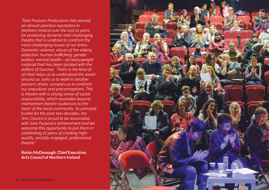*"Sole Purpose Productions has earned an almost peerless reputation in Northern Ireland over the last 21 years for producing dynamic and challenging theatre that is unafraid to confront the most challenging issues of our times. Domestic violence, abuse of the elderly, addiction, human trafficking, gender politics, mental health - all heavyweight material that has been tackled with the deftest of touches. Theirs is the kind of art that helps us to understand the world around us, asks us to walk in another person's shoes, compels us to confront our prejudices and preconceptions. This is theatre with a strong sense of social responsibility, which resonates beyond mainstream theatre audiences to the heart of the local community. As principal funder for the past two decades, the Arts Council is proud to be associated with Sole Purpose's achievement and we welcome this opportunity to join them in celebrating 21 years of creating highquality, socially-engaged, professional theatre."*

**Roisín McDonough, Chief Executive, Arts Council of Northern Ireland**

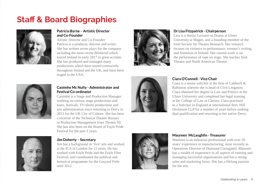## **Staff & Board Biographies**



#### **Patricia Byrne - Artistic Director and Co-Founder**

Artistic Director and Co-Founder Patricia is a producer, director and writer. She has written seven plays for the company including the most recent *Blinkered* which toured Ireland in early 2017 to great acclaim. She has produced and managed many productions which have toured extensively throughout Ireland and the UK, and have been staged in the USA.



#### **Dr Lisa Fitzpatrick - Chairperson**

Lisa is a Senior Lecturer in Drama at Ulster University at Magee, and a founding member of the Irish Society for Theatre Research. Her research focuses on violence in performance, women's writing, and feminism in Ireland. Her current work is on the performance of rape on stage. She teaches Irish Theatre and North American Theatre.



### **Caoimhe Mc Nulty - Administrator and Festival Co-ordinator**

Caoimhe is a Stage and Production Manager working on various stage productions and tours, festivals, TV/shorts productions and arts administration since returning to Derry in 2013 for the UK City of Culture. She has been a receiver of the Technical Theatre Bursary in Production Management from Theatre NI. She has also been on the Board of Foyle Pride Festival for the past 3 years.



### **Ciara O'Connell - Vice Chair**

Ciara is a senior solicitor at the firm of Caldwell & Robinson wherein she is head of Civil Litigation. Ciara obtained her degree in Law and Politics at the Ulster University and completed her legal training at the College of Law in Chester. Ciara practised as a Solicitor in England at international firm, Hill Dickinson LLP for a number of years before seeking dual qualification and returning to her native Derry.



### **Jim Doherty – Secretary**

Jim has a background in 'live' arts and worked at the ICA in London for 12 years. He has worked with Foyle Pride and the Foyle Film Festival, and coordinated the political and historical programme for the Gasyard Feile until 2012.



#### **Maureen McLaughlin - Treasurer**

Maureen is an industrial professional with over 20 years' experience in manufacturing; most recently as Operations Director of Diamond Corrugated. Maureen has a wealth of experience in all aspects of running and managing successful organisations and has a strong sales and marketing focus. She has a lifelong passion for the arts.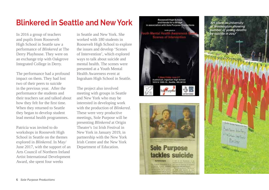## **Blinkered in Seattle and New York**

In 2016 a group of teachers and pupils from Roosevelt High School in Seattle saw a performance of *Blinkered* at The Derry Playhouse. They were on an exchange trip with Oakgrove Integrated College in Derry.

The performance had a profound impact on them. They had lost two of their peers to suicide in the previous year. After the performance the students and their teachers sat and talked about how they felt for the first time. When they returned to Seattle they began to develop student lead mental health programmes.

Patricia was invited to do workshops in Roosevelt High School in Seattle on the themes explored in *Blinkered*. In May/ June 2017, with the support of an Arts Council of Northern Ireland Artist International Development Award, she spent four weeks

in Seattle and New York. She worked with 180 students in Roosevelt High School to explore the issues and develop 'Scenes of Intervention', which explored ways to talk about suicide and mental health. The scenes were presented at a Youth Mental Health Awareness event at Ingraham High School in Seattle.

The project also involved meeting with groups in Seattle and New York who may be interested in developing work with the production of *Blinkered*. These were very productive meetings, Sole Purpose will be presenting *Blinkered* at Origin Theatre's 1st Irish Festival in New York in January 2019, in partnership with the New York Irish Centre and the New York Department of Education.

Roosevelt High School and Hands for a Bridge in association with Sole Purpose Pr uth Mental Health Awaren **Scenes of Intervention** 





### **Sole Purpose** tackles suicide

*'Art piece at University of Washington showing number of young deaths by suicide in 2017'*

**UST SHELF WINDOW**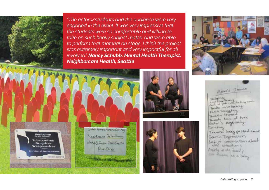*"The actors/students and the audience were very engaged in the event. It was very impressive that the students were so comfortable and willing to take on such heavy subject matter and were able to perform that material on stage. I think the project was extremely important and very impactful for all involved." Nancy Schubb, Mental Health Therapist, Neighborcare Health, Seattle*



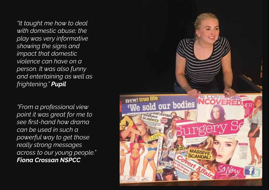*"It taught me how to deal with domestic abuse; the play was very informative showing the signs and impact that domestic violence can have on a person. It was also funny and entertaining as well as frightening." Pupil*

*"From a professional view point it was great for me to see first-hand how drama can be used in such a powerful way to get those really strong messages across to our young people." Fiona Crossan NSPCC*

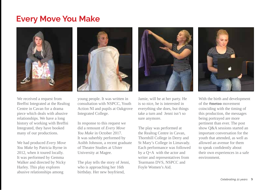### **Every Move You Make**



We received a request from Breffni Integrated at the Realtog Centre in Cavan for a drama piece which deals with abusive relationships. We have a long history of working with Breffni Integrated, they have booked many of our productions.

We had produced *Every Move You Make* by Patricia Byrne in 2012, when it toured locally. It was performed by Gemma Walker and directed by Nicky Harley. This play explores abusive relationships among



young people. It was written in consultation with NSPCC, Youth Action NI and pupils at Oakgrove Integrated College.

In response to this request we did a remount of *Every Move You Make* in October 2017. It was suberbly performed by Aoibh Johnson, a recent graduate of Theatre Studies at Ulster University at Magee.

The play tells the story of Jenni, who is approaching her 16th birthday. Her new boyfriend,



Jamie, will be at her party. He is so nice, he is interested in everything she does, but things take a turn and Jenni isn't so sure anymore.

The play was performed at the Realtog Centre in Cavan, Thornhill College in Derry and St Mary's College in Limavady. Each performance was followed by a Q+A with the actor and writer and representatives from Tearmann DVS, NSPCC and Foyle Women's Aid.



With the birth and development of the **#metoo** movement coinciding with the timing of this production, the messages being portrayed are more pertinent than ever. The post show Q&A sessions started an important conversation for the youth that attended, as well as allowed an avenue for them to speak confidently about their own experiences in a safe environment.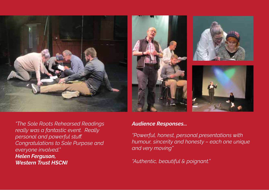

*"The Sole Roots Rehearsed Readings really was a fantastic event. Really personal and powerful stuff. Congratulations to Sole Purpose and everyone involved." Helen Ferguson, Western Trust HSCNI* 

### *Audience Responses...*

*"Powerful, honest, personal presentations with humour, sincerity and honesty – each one unique and very moving"*

*"Authentic, beautiful & poignant."*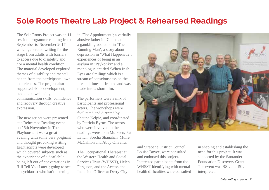### **Sole Roots Theatre Lab Project & Rehearsed Readings**

The Sole Roots Project was an 11 session programme running from September to November 2017, which generated writing for the stage from adults with barriers to access due to disability and / or a mental health condition. The material developed explored themes of disability and mental health from the participants' own experiences. The project also supported skills development, health and wellbeing, communication skills, confidence and recovery through creative expression.

The new scripts were presented at a Rehearsed Reading event on 15th November in The Playhouse. It was a great evening with some very poignant and thought provoking writing. Eight scripts were developed which covered subjects such as: the experience of a deaf child being left out of conversations in 'I'll Tell You Later'; going to see a psychiatrist who isn't listening

in 'The Appointment'; a verbally abusive father in 'Chocolate'; a gambling addiction in 'The Running Man'; a story about depression in 'What Happened?'; experiences of being in an asylum in 'Psykotiky' and a monologue entitled 'When Irish Eyes are Smiling' which is a stream of consciousness on the life and times of Ireland and was made into a short film.

The performers were a mix of participants and professional actors. The workshops were facilitated and directed by Shauna Kelpie, and coordinated by Patricia Byrne. The actors who were involved in the readings were John Mulkeen, Pat Lynch, Sorcha Shanahan, Muire McCallion and Abby Oliveira.

The Occupational Therapist at the Western Health and Social Services Trust (WHSST), Helen Ferguson, and the Access and Inclusion Officer at Derry City



and Strabane District Council, Louise Boyce, were consulted and endorsed this project. Interested participants from the WHSST identifying with mental health difficulties were consulted in shaping and establishing the need for this project. It was supported by the Santander Foundation Discovery Grant. The event was BSL and ISL interpreted.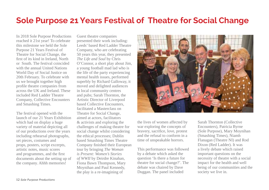### **Sole Purpose 21 Years Festival of Theatre for Social Change**

In 2018 Sole Purpose Productions reached it 21st year! To celebrate this milestone we held the Sole Purpose 21 Years Festival of Theatre for Social Change, the first of its kind in Ireland, North or South. The festival coincided with the annual United Nations World Day of Social Justice on 20th February. To celebrate with us we brought together high profile theatre companies from across the UK and Ireland. These included Red Ladder Theatre Company, Collective Encounters and Smashing Times.

The festival opened with the launch of our 21 Years Exhibition which had on display a huge variety of material depicting all of our productions over the years including rehearsal photographs, set pieces, costumes and props, posters, script excerpts, artistic notes, music scores and programmes, and the first documents about the setting up of the company. Ahhh memories!

Guest theatre companies presented their work including: Leeds' based Red Ladder Theatre Company, who are celebrating 50 years this year, they presented *The Life and Soul* by Chris O'Connor, a short play about Jim, a young football mad lad who is the life of the party experiencing mental health issues, performed superbly by Richard Galloway, it moved and delighted audiences in local community centres and pubs; Sarah Thornton, the Artistic Director of Liverpool based Collective Encounters, facilitated a Masterclass on Theatre for Social Change, aimed at actors, facilitators & activists and exploring the challenges of making theatre for social change whilst considering the ethical processes; Dublin based Smashing Times Theatre Company finished their European tour by bringing *The Woman is Present: Women's Stories of WWII* by Deirdre Kinahan, Fiona Bawn Thompson, Mary Moynihan and Paul Kennedy, the play is a re-imagining of



the lives of women affected by war exploring the concepts of bravery, sacrifice, love, protest and the refusal to conform in a time of unspeakable horrors.

This performance was followed by a debate which asked the question 'Is there a future for theatre for social change?'. The debate was chaired by Dave Duggan. The panel included

Sarah Thornton (Collective Encounters), Patricia Byrne (Sole Purpose), Mary Moynihan (Smashing Times), Niamh Flanagan (Theatre NI) and Rod Dixon (Red Ladder). It was a lively debate which raised important questions on the necessity of theatre with a social impact for the health and well being of our communities and the society we live in.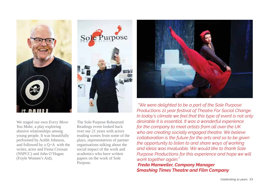



We staged our own *Every Move You Make*, a play exploring abusive relationships among young people. It was beautifully performed by Aoibh Johnson, and followed by a Q+A with the writer, actor and Fiona Crossan (NSPCC) and John O'Hagan (Foyle Women's Aid).

The Sole Purpose Rehearsed Readings event looked back over our 21 years with actors reading scenes from some of the plays, representatives of partner organisations talking about the social impact of the work and academics who have written papers on the work of Sole Purpose.



 *"We were delighted to be a part of the Sole Purpose Productions 21 year festival of Theatre For Social Change. In today's climate we feel that this type of event is not only desirable it is essential. It was a wonderful experience for the company to meet artists from all over the UK who are creating socially engaged theatre. We believe collaboration is the future for the arts and so to be given the opportunity to listen to and share ways of working and ideas was invaluable. We would like to thank Sole Purpose Productions for this experience and hope we will work together again."*

 *Freda Manweiler, Company Manager Smashing Times Theatre and Film Company*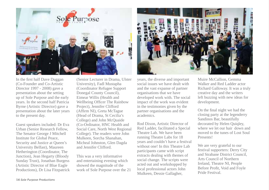

In the first half Dave Duggan (Co-Founder and Co-Artistic Director 1997 - 2008) gave a presentation about the setting up of Sole Purpose and the early years. In the second half Patricia Byrne (Artistic Director) gave a presentation about the later years to the present day.

Guest speakers included: Dr Eva Urban (Senior Research Fellow, The Senator George J Mitchell Institute for Global Peace, Security and Justice at Queen's University Belfast), Maureen Hetherington (Coordinator, The Junction), Jean Hegarty (Bloody Sunday Trust), Jonathan Burgess (Artistic Director of Blue Eagle Productions), Dr Lisa Fitzpatrick

(Senior Lecturer in Drama, Ulster University), Fadl Mustapha (Coordinator Refugee Support Donegal County Council), Eimear Willis (Health and Wellbeing Officer The Rainbow Project), Jennifer Clifford (Affirm NI), Greta McTague (Head of Drama, St Cecilia's College) and John McQuaide (Co-Ordinator, HNC Health and Social Care, North West Regional College). The readers were John Mulkeen, Sorcha Shanahan, Micheal Johnston, Glen Dagda and Jennifer Clifford.

This was a very informative and entertaining evening which showed the magnitude of the work of Sole Purpose over the 21



years, the diverse and important social issues we have dealt with and the vast expanse of partner organisations that we have developed work with. The social impact of the work was evident in the testimonies given by the partner organisations and the academics.

Rod Dixon, Artistic Director of Red Ladder, facilitated a Special Theatre Lab. We have been running Theatre Labs for 18 years and couldn't have a festival without one! In this Theatre Lab participants came with script extracts dealing with themes of social change. The scripts were acted out and workshopped by local professional actors John Mulkeen, Dessie Gallagher,

Muire McCallion, Gemma Walker and Red Ladder actor Richard Galloway. It was a truly creative day and the writers left buzzing with new ideas for development.

On the final night we had the closing party at the legenderry Sandinos Bar, beautifully decorated by Helen Quiqley, where we let our hair down and moved to the tunes of Lost Soul Presents!

We are very grateful to our festival supporters: Derry City and Strabane District Council, Arts Council of Northern Ireland, Theatre NI, People Before Profit, Void and Foyle Pride Festival.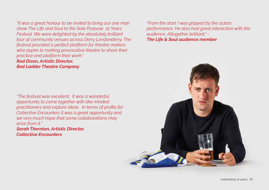*"It was a great honour to be invited to bring our one man show The Life and Soul to the Sole Purpose 21 Years Festival. We were delighted by the absolutely brilliant tour of community venues across Derry Londonderry. The festival provided a perfect platform for theatre makers who aspire to making provocative theatre to share their practice and platform their work." Rod Dixon, Artistic Director, Red Ladder Theatre Company*

*"From the start I was gripped by the actors performance. He also had great interaction with the audience. Altogether brilliant." - The Life & Soul audience member*

*"The festival was excellent. It was a wonderful opportunity to come together with like minded practitioners and explore ideas. In terms of profile for Collective Encounters it was a great opportunity and we very much hope that some collaborations may arise from it." Sarah Thornton, Artistic Director, Collective Encounters*

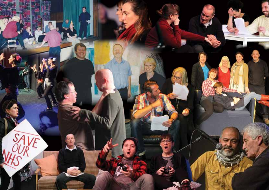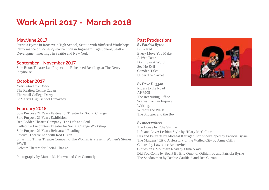## **Work April 2017 - March 2018**

### **May/June 2017**

Patricia Byrne in Roosevelt High School, Seattle with *Blinkered* Workshops Performance of *Scenes of Intervention* in Ingraham High School, Seattle Development meetings in Seattle and New York

### **September – November 2017**

Sole Roots Theatre Lab Project and Rehearsed Readings at The Derry Playhouse

### **October 2017**

*Every Move You Make*: The Realtog Centre Cavan Thornhill College Derry St Mary's High school Limavady

### **February 2018**

Sole Purpose 21 Years Festival of Theatre for Social Change Sole Purpose 21 Years Exhibition Red Ladder Theatre Company: The Life and Soul Collective Encounters Theatre for Social Change Workshop Sole Purpose 21 Years Rehearsed Readings Festival Theatre Lab with Rod Dixon Smashing Times Theatre Company: The Woman is Present: Women's Stories WWII Debate: Theatre for Social Change

Photography by Martin McKeown and Gav Connolly

### **Past Productions**

*By Patricia Byrne* Blinkered Every Move You Make A Wee Taste Don't Say A Word See No Evil Camden Tales Under The Carpet

#### *By Dave Duggan*

Riders to the Road AH6905 The Recruiting Office Scenes from an Inquiry Waiting….. Without the Walls The Shopper and the Boy

#### *By other writers*

The House by Edie Shillue Life and Love: Lesbian Style by Hilary McCollum Pits and Perverts by Micheal Kerrigan, script developed by Patricia Byrne The Maidens' City: A Herstory of the Walled City by Anne Crilly Galatea by Lawrence Aronovitch Clouds on a Mountain Road by Orna Akad Did You Come by Boat? By Elly Omondi Odhiambo and Patricia Byrne The Shadowmen by Debbie Caulfield and Rea Curran

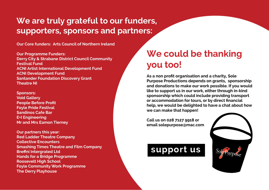## **We are truly grateful to our funders, supporters, sponsors and partners:**

**Our Core funders: Arts Council of Northern Ireland**

**Our Programme Funders: Derry City & Strabane District Council Community Festival Fund ACNI Artist International Development Fund ACNI Development Fund Santander Foundation Discovery Grant Theatre NI**

**Sponsors: Void Gallery People Before Profit Foyle Pride Festival Sandinos Cafe Bar E+I Engineering Mr and Mrs Eamon Tierney**

**Our partners this year: Red Ladder Theatre Company Collective Encounters Smashing Times Theatre and Film Company Breffni Intergrated Ltd Hands for a Bridge Programme Roosevelt High School Foyle Community Work Programme The Derry Playhouse**

# **We could be thanking you too!**

**As a non profit organisation and a charity, Sole Purpose Productions depends on grants, sponsorship and donations to make our work possible. If you would like to support us in our work, either through in-kind sponsorship which could include providing transport or accommodation for tours, or by direct financial help, we would be delighted to have a chat about how we can make that happen!**

**Call us on 028 7127 9918 or email solepurpose@mac.com**

## **support us**

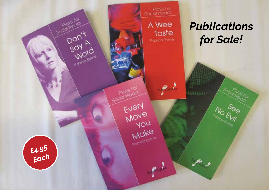